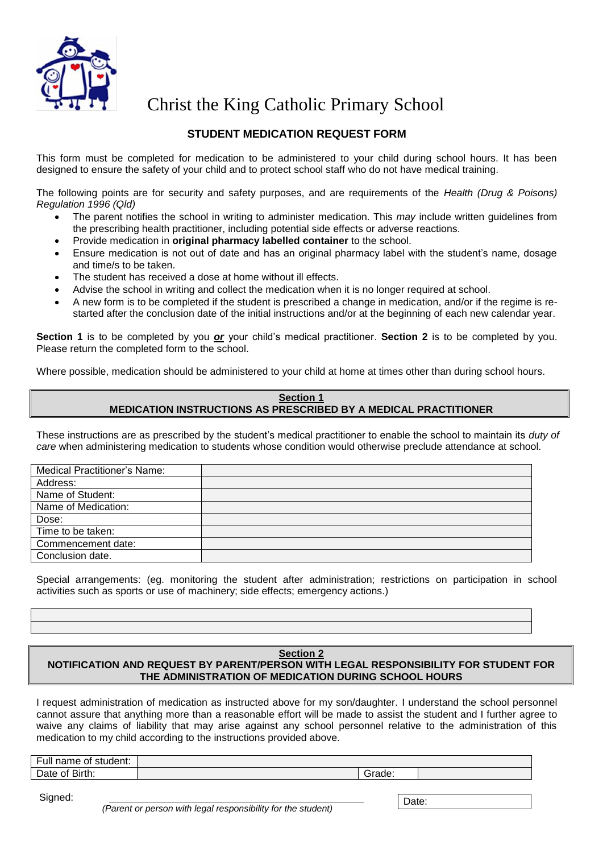

Christ the King Catholic Primary School

## **STUDENT MEDICATION REQUEST FORM**

This form must be completed for medication to be administered to your child during school hours. It has been designed to ensure the safety of your child and to protect school staff who do not have medical training.

The following points are for security and safety purposes, and are requirements of the *Health (Drug & Poisons) Regulation 1996 (Qld)*

- The parent notifies the school in writing to administer medication. This *may* include written guidelines from the prescribing health practitioner, including potential side effects or adverse reactions.
- Provide medication in **original pharmacy labelled container** to the school.
- Ensure medication is not out of date and has an original pharmacy label with the student's name, dosage and time/s to be taken.
- The student has received a dose at home without ill effects.
- Advise the school in writing and collect the medication when it is no longer required at school.
- A new form is to be completed if the student is prescribed a change in medication, and/or if the regime is restarted after the conclusion date of the initial instructions and/or at the beginning of each new calendar year.

**Section 1** is to be completed by you *or* your child's medical practitioner. **Section 2** is to be completed by you. Please return the completed form to the school.

Where possible, medication should be administered to your child at home at times other than during school hours.

## **Section 1 MEDICATION INSTRUCTIONS AS PRESCRIBED BY A MEDICAL PRACTITIONER**

These instructions are as prescribed by the student's medical practitioner to enable the school to maintain its *duty of care* when administering medication to students whose condition would otherwise preclude attendance at school.

| <b>Medical Practitioner's Name:</b> |  |
|-------------------------------------|--|
| Address:                            |  |
| Name of Student:                    |  |
| Name of Medication:                 |  |
| Dose:                               |  |
| Time to be taken:                   |  |
| Commencement date:                  |  |
| Conclusion date.                    |  |

Special arrangements: (eg. monitoring the student after administration; restrictions on participation in school activities such as sports or use of machinery; side effects; emergency actions.)

## **Section 2 NOTIFICATION AND REQUEST BY PARENT/PERSON WITH LEGAL RESPONSIBILITY FOR STUDENT FOR THE ADMINISTRATION OF MEDICATION DURING SCHOOL HOURS**

I request administration of medication as instructed above for my son/daughter. I understand the school personnel cannot assure that anything more than a reasonable effort will be made to assist the student and I further agree to waive any claims of liability that may arise against any school personnel relative to the administration of this medication to my child according to the instructions provided above.

| $\overline{\phantom{0}}$<br>student:<br><b>Full name</b><br>ot |        |  |
|----------------------------------------------------------------|--------|--|
| Birth:<br>Date<br>ot.                                          | irade: |  |

Signed:

 *(Parent or person with legal responsibility for the student)* 

Date: